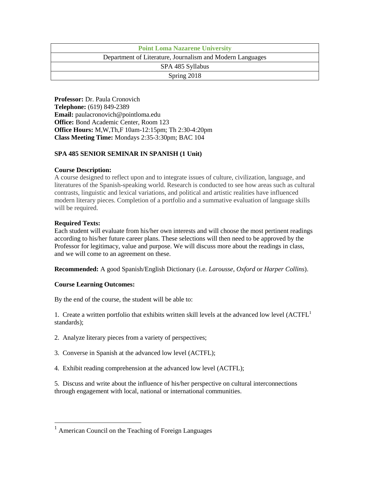| <b>Point Loma Nazarene University</b>                     |  |  |
|-----------------------------------------------------------|--|--|
| Department of Literature, Journalism and Modern Languages |  |  |
| SPA 485 Syllabus                                          |  |  |
| Spring 2018                                               |  |  |

**Professor:** Dr. Paula Cronovich **Telephone:** (619) 849-2389 **Email:** paulacronovich@pointloma.edu **Office:** Bond Academic Center, Room 123 **Office Hours:** M,W,Th,F 10am-12:15pm; Th 2:30-4:20pm **Class Meeting Time:** Mondays 2:35-3:30pm; BAC 104

# **SPA 485 SENIOR SEMINAR IN SPANISH (1 Unit)**

# **Course Description:**

A course designed to reflect upon and to integrate issues of culture, civilization, language, and literatures of the Spanish-speaking world. Research is conducted to see how areas such as cultural contrasts, linguistic and lexical variations, and political and artistic realities have influenced modern literary pieces. Completion of a portfolio and a summative evaluation of language skills will be required.

# **Required Texts:**

 $\overline{a}$ 

Each student will evaluate from his/her own interests and will choose the most pertinent readings according to his/her future career plans. These selections will then need to be approved by the Professor for legitimacy, value and purpose. We will discuss more about the readings in class, and we will come to an agreement on these.

**Recommended:** A good Spanish/English Dictionary (i.e. *Larousse*, *Oxford* or *Harper Collins*).

# **Course Learning Outcomes:**

By the end of the course, the student will be able to:

1. Create a written portfolio that exhibits written skill levels at the advanced low level (ACTFL<sup>1</sup> standards);

- 2. Analyze literary pieces from a variety of perspectives;
- 3. Converse in Spanish at the advanced low level (ACTFL);
- 4. Exhibit reading comprehension at the advanced low level (ACTFL);

5. Discuss and write about the influence of his/her perspective on cultural interconnections through engagement with local, national or international communities.

 $<sup>1</sup>$  American Council on the Teaching of Foreign Languages</sup>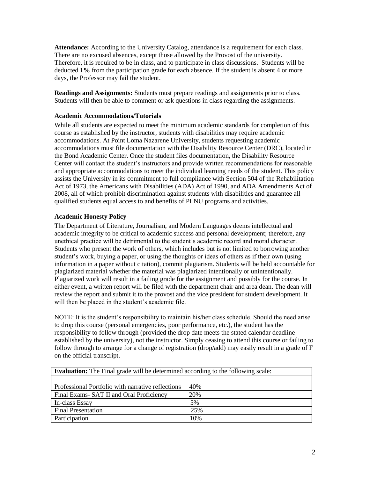**Attendance:** According to the University Catalog, attendance is a requirement for each class. There are no excused absences, except those allowed by the Provost of the university. Therefore, it is required to be in class, and to participate in class discussions. Students will be deducted **1%** from the participation grade for each absence. If the student is absent 4 or more days, the Professor may fail the student.

**Readings and Assignments:** Students must prepare readings and assignments prior to class. Students will then be able to comment or ask questions in class regarding the assignments.

# **Academic Accommodations/Tutorials**

While all students are expected to meet the minimum academic standards for completion of this course as established by the instructor, students with disabilities may require academic accommodations. At Point Loma Nazarene University, students requesting academic accommodations must file documentation with the Disability Resource Center (DRC), located in the Bond Academic Center. Once the student files documentation, the Disability Resource Center will contact the student's instructors and provide written recommendations for reasonable and appropriate accommodations to meet the individual learning needs of the student. This policy assists the University in its commitment to full compliance with Section 504 of the Rehabilitation Act of 1973, the Americans with Disabilities (ADA) Act of 1990, and ADA Amendments Act of 2008, all of which prohibit discrimination against students with disabilities and guarantee all qualified students equal access to and benefits of PLNU programs and activities.

# **Academic Honesty Policy**

The Department of Literature, Journalism, and Modern Languages deems intellectual and academic integrity to be critical to academic success and personal development; therefore, any unethical practice will be detrimental to the student's academic record and moral character. Students who present the work of others, which includes but is not limited to borrowing another student's work, buying a paper, or using the thoughts or ideas of others as if their own (using information in a paper without citation), commit plagiarism. Students will be held accountable for plagiarized material whether the material was plagiarized intentionally or unintentionally. Plagiarized work will result in a failing grade for the assignment and possibly for the course. In either event, a written report will be filed with the department chair and area dean. The dean will review the report and submit it to the provost and the vice president for student development. It will then be placed in the student's academic file.

NOTE: It is the student's responsibility to maintain his/her class schedule. Should the need arise to drop this course (personal emergencies, poor performance, etc.), the student has the responsibility to follow through (provided the drop date meets the stated calendar deadline established by the university), not the instructor. Simply ceasing to attend this course or failing to follow through to arrange for a change of registration (drop/add) may easily result in a grade of F on the official transcript.

| <b>Evaluation:</b> The Final grade will be determined according to the following scale: |      |
|-----------------------------------------------------------------------------------------|------|
|                                                                                         |      |
| Professional Portfolio with narrative reflections                                       | 40\% |
| Final Exams SAT II and Oral Proficiency                                                 | 20%  |
| In-class Essay                                                                          | 5%   |
| <b>Final Presentation</b>                                                               | 25%  |
| Participation                                                                           | 10%  |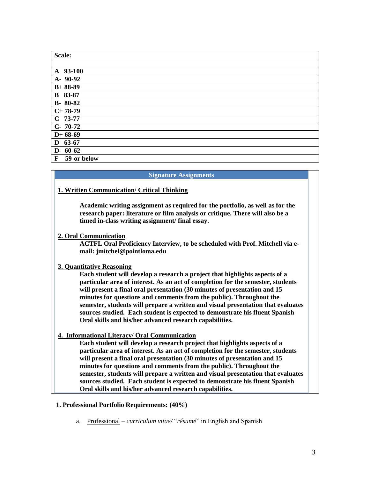| Scale:                     |
|----------------------------|
|                            |
| A 93-100                   |
| $A - 90 - 92$              |
| $B+88-89$                  |
| <b>B</b> 83-87             |
| $B-80-82$                  |
| $C+78-79$                  |
| $C$ 73-77                  |
| $C-70-72$                  |
| $D+68-69$                  |
| $D$ 63-67                  |
| $D-60-62$                  |
| 59-or below<br>$\mathbf F$ |

### **Signature Assignments**

# **1. Written Communication/ Critical Thinking**

**Academic writing assignment as required for the portfolio, as well as for the research paper: literature or film analysis or critique. There will also be a timed in-class writing assignment/ final essay.**

# **2. Oral Communication**

**ACTFL Oral Proficiency Interview, to be scheduled with Prof. Mitchell via email: jmitchel@pointloma.edu**

# **3. Quantitative Reasoning**

**Each student will develop a research a project that highlights aspects of a particular area of interest. As an act of completion for the semester, students will present a final oral presentation (30 minutes of presentation and 15 minutes for questions and comments from the public). Throughout the semester, students will prepare a written and visual presentation that evaluates sources studied. Each student is expected to demonstrate his fluent Spanish Oral skills and his/her advanced research capabilities.**

**4. Informational Literacy/ Oral Communication**

**Each student will develop a research project that highlights aspects of a particular area of interest. As an act of completion for the semester, students will present a final oral presentation (30 minutes of presentation and 15 minutes for questions and comments from the public). Throughout the semester, students will prepare a written and visual presentation that evaluates sources studied. Each student is expected to demonstrate his fluent Spanish Oral skills and his/her advanced research capabilities.**

### **1. Professional Portfolio Requirements: (40%)**

a. Professional – *curriculum vitae/* "*résumé*" in English and Spanish